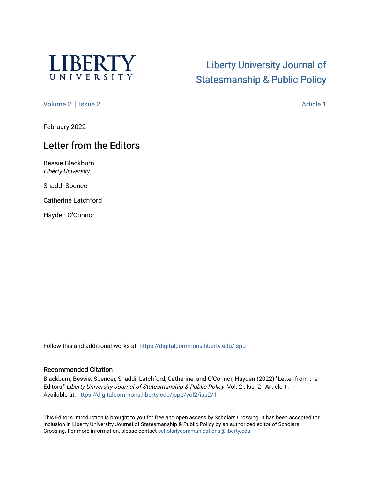

## [Liberty University Journal of](https://digitalcommons.liberty.edu/jspp)  [Statesmanship & Public Policy](https://digitalcommons.liberty.edu/jspp)

[Volume 2](https://digitalcommons.liberty.edu/jspp/vol2) | [Issue 2](https://digitalcommons.liberty.edu/jspp/vol2/iss2) Article 1

February 2022

## Letter from the Editors

Bessie Blackburn Liberty University

Shaddi Spencer

Catherine Latchford

Hayden O'Connor

Follow this and additional works at: [https://digitalcommons.liberty.edu/jspp](https://digitalcommons.liberty.edu/jspp?utm_source=digitalcommons.liberty.edu%2Fjspp%2Fvol2%2Fiss2%2F1&utm_medium=PDF&utm_campaign=PDFCoverPages) 

## Recommended Citation

Blackburn, Bessie; Spencer, Shaddi; Latchford, Catherine; and O'Connor, Hayden (2022) "Letter from the Editors," Liberty University Journal of Statesmanship & Public Policy: Vol. 2 : Iss. 2, Article 1. Available at: [https://digitalcommons.liberty.edu/jspp/vol2/iss2/1](https://digitalcommons.liberty.edu/jspp/vol2/iss2/1?utm_source=digitalcommons.liberty.edu%2Fjspp%2Fvol2%2Fiss2%2F1&utm_medium=PDF&utm_campaign=PDFCoverPages) 

This Editor's Introduction is brought to you for free and open access by Scholars Crossing. It has been accepted for inclusion in Liberty University Journal of Statesmanship & Public Policy by an authorized editor of Scholars Crossing. For more information, please contact [scholarlycommunications@liberty.edu](mailto:scholarlycommunications@liberty.edu).